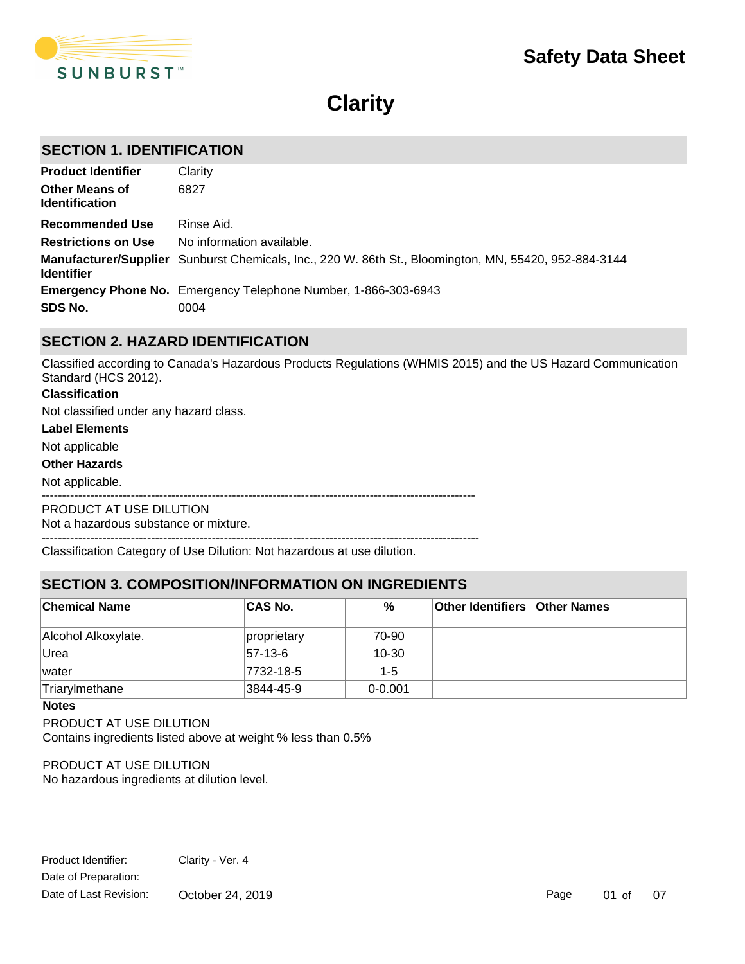

# **Clarity**

# **SECTION 1. IDENTIFICATION**

| <b>Product Identifier</b>                      | Clarity                                                                                               |
|------------------------------------------------|-------------------------------------------------------------------------------------------------------|
| <b>Other Means of</b><br><b>Identification</b> | 6827                                                                                                  |
| <b>Recommended Use</b>                         | Rinse Aid.                                                                                            |
| <b>Restrictions on Use</b>                     | No information available.                                                                             |
| <b>Identifier</b>                              | Manufacturer/Supplier Sunburst Chemicals, Inc., 220 W. 86th St., Bloomington, MN, 55420, 952-884-3144 |
|                                                | <b>Emergency Phone No.</b> Emergency Telephone Number, 1-866-303-6943                                 |
| SDS No.                                        | 0004                                                                                                  |

# **SECTION 2. HAZARD IDENTIFICATION**

Classified according to Canada's Hazardous Products Regulations (WHMIS 2015) and the US Hazard Communication Standard (HCS 2012).

### **Classification**

Not classified under any hazard class.

#### **Label Elements**

Not applicable

#### **Other Hazards**

Not applicable.

-----------------------------------------------------------------------------------------------------------

PRODUCT AT USE DILUTION

Not a hazardous substance or mixture.

------------------------------------------------------------------------------------------------------------

Classification Category of Use Dilution: Not hazardous at use dilution.

# **SECTION 3. COMPOSITION/INFORMATION ON INGREDIENTS**

| <b>Chemical Name</b> | <b>CAS No.</b> | %           | <b>Other Identifiers Other Names</b> |  |
|----------------------|----------------|-------------|--------------------------------------|--|
| Alcohol Alkoxylate.  | proprietary    | 70-90       |                                      |  |
| Urea                 | $ 57-13-6 $    | $10 - 30$   |                                      |  |
| water                | 7732-18-5      | $1 - 5$     |                                      |  |
| Triarylmethane       | 3844-45-9      | $0 - 0.001$ |                                      |  |

#### **Notes**

PRODUCT AT USE DILUTION

Contains ingredients listed above at weight % less than 0.5%

### PRODUCT AT USE DILUTION

No hazardous ingredients at dilution level.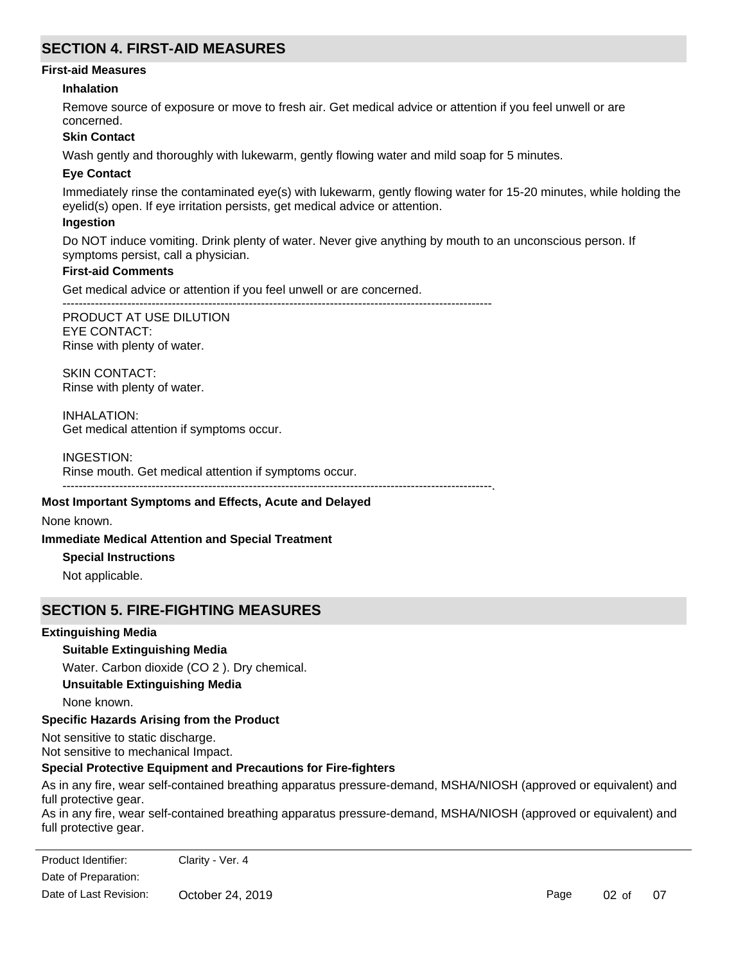# **SECTION 4. FIRST-AID MEASURES**

### **First-aid Measures**

### **Inhalation**

Remove source of exposure or move to fresh air. Get medical advice or attention if you feel unwell or are concerned.

### **Skin Contact**

Wash gently and thoroughly with lukewarm, gently flowing water and mild soap for 5 minutes.

### **Eye Contact**

Immediately rinse the contaminated eye(s) with lukewarm, gently flowing water for 15-20 minutes, while holding the eyelid(s) open. If eye irritation persists, get medical advice or attention.

### **Ingestion**

Do NOT induce vomiting. Drink plenty of water. Never give anything by mouth to an unconscious person. If symptoms persist, call a physician.

### **First-aid Comments**

Get medical advice or attention if you feel unwell or are concerned.

---------------------------------------------------------------------------------------------------------- PRODUCT AT USE DILUTION EYE CONTACT:

Rinse with plenty of water.

SKIN CONTACT: Rinse with plenty of water.

INHALATION: Get medical attention if symptoms occur.

### INGESTION:

Rinse mouth. Get medical attention if symptoms occur.

----------------------------------------------------------------------------------------------------------.

### **Most Important Symptoms and Effects, Acute and Delayed**

None known.

### **Immediate Medical Attention and Special Treatment**

**Special Instructions**

Not applicable.

# **SECTION 5. FIRE-FIGHTING MEASURES**

### **Extinguishing Media**

# **Suitable Extinguishing Media**

Water. Carbon dioxide (CO 2 ). Dry chemical.

# **Unsuitable Extinguishing Media**

None known.

# **Specific Hazards Arising from the Product**

Not sensitive to static discharge. Not sensitive to mechanical Impact.

# **Special Protective Equipment and Precautions for Fire-fighters**

As in any fire, wear self-contained breathing apparatus pressure-demand, MSHA/NIOSH (approved or equivalent) and full protective gear.

As in any fire, wear self-contained breathing apparatus pressure-demand, MSHA/NIOSH (approved or equivalent) and full protective gear.

Date of Preparation: Product Identifier: Clarity - Ver. 4 Date of Last Revision: October 24, 2019

Page 02 of 07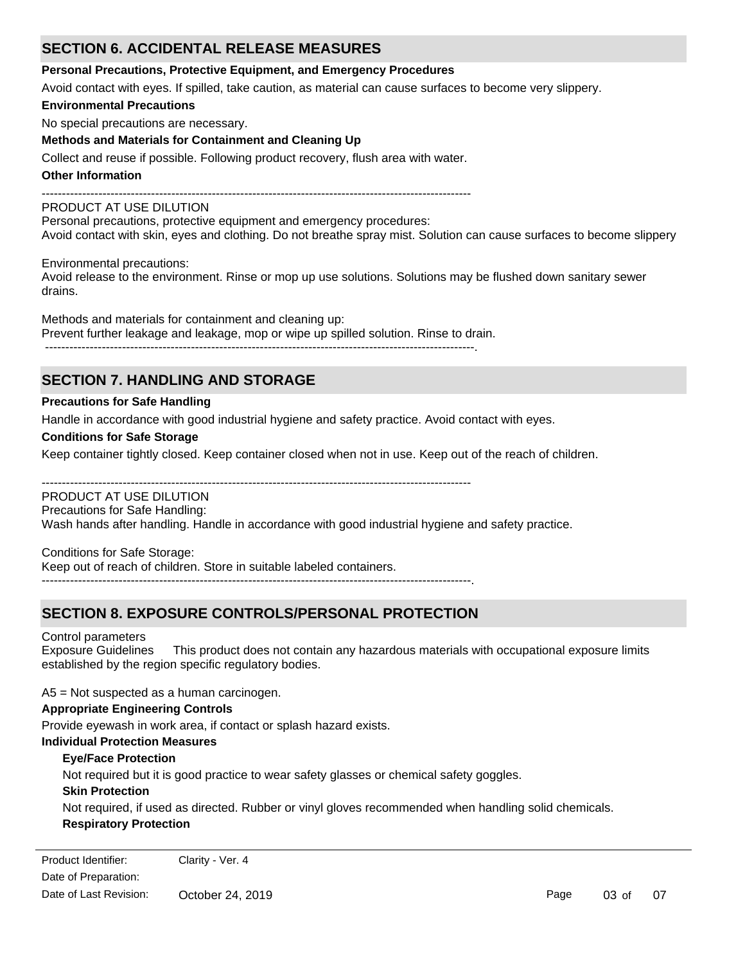# **SECTION 6. ACCIDENTAL RELEASE MEASURES**

### **Personal Precautions, Protective Equipment, and Emergency Procedures**

Avoid contact with eyes. If spilled, take caution, as material can cause surfaces to become very slippery.

### **Environmental Precautions**

No special precautions are necessary.

# **Methods and Materials for Containment and Cleaning Up**

Collect and reuse if possible. Following product recovery, flush area with water.

### **Other Information**

----------------------------------------------------------------------------------------------------------

# PRODUCT AT USE DILUTION

Personal precautions, protective equipment and emergency procedures: Avoid contact with skin, eyes and clothing. Do not breathe spray mist. Solution can cause surfaces to become slippery

Environmental precautions:

Avoid release to the environment. Rinse or mop up use solutions. Solutions may be flushed down sanitary sewer drains.

Methods and materials for containment and cleaning up: Prevent further leakage and leakage, mop or wipe up spilled solution. Rinse to drain. ----------------------------------------------------------------------------------------------------------.

# **SECTION 7. HANDLING AND STORAGE**

# **Precautions for Safe Handling**

Handle in accordance with good industrial hygiene and safety practice. Avoid contact with eyes.

### **Conditions for Safe Storage**

Keep container tightly closed. Keep container closed when not in use. Keep out of the reach of children.

----------------------------------------------------------------------------------------------------------

### PRODUCT AT USE DILUTION

Precautions for Safe Handling:

Wash hands after handling. Handle in accordance with good industrial hygiene and safety practice.

Conditions for Safe Storage: Keep out of reach of children. Store in suitable labeled containers.

# **SECTION 8. EXPOSURE CONTROLS/PERSONAL PROTECTION**

----------------------------------------------------------------------------------------------------------.

### Control parameters

Exposure Guidelines This product does not contain any hazardous materials with occupational exposure limits established by the region specific regulatory bodies.

A5 = Not suspected as a human carcinogen.

# **Appropriate Engineering Controls**

Provide eyewash in work area, if contact or splash hazard exists.

# **Individual Protection Measures**

### **Eye/Face Protection**

Not required but it is good practice to wear safety glasses or chemical safety goggles.

### **Skin Protection**

Not required, if used as directed. Rubber or vinyl gloves recommended when handling solid chemicals.

# **Respiratory Protection**

Product Identifier: Clarity - Ver. 4 Date of Preparation: Date of Last Revision: October 24, 2019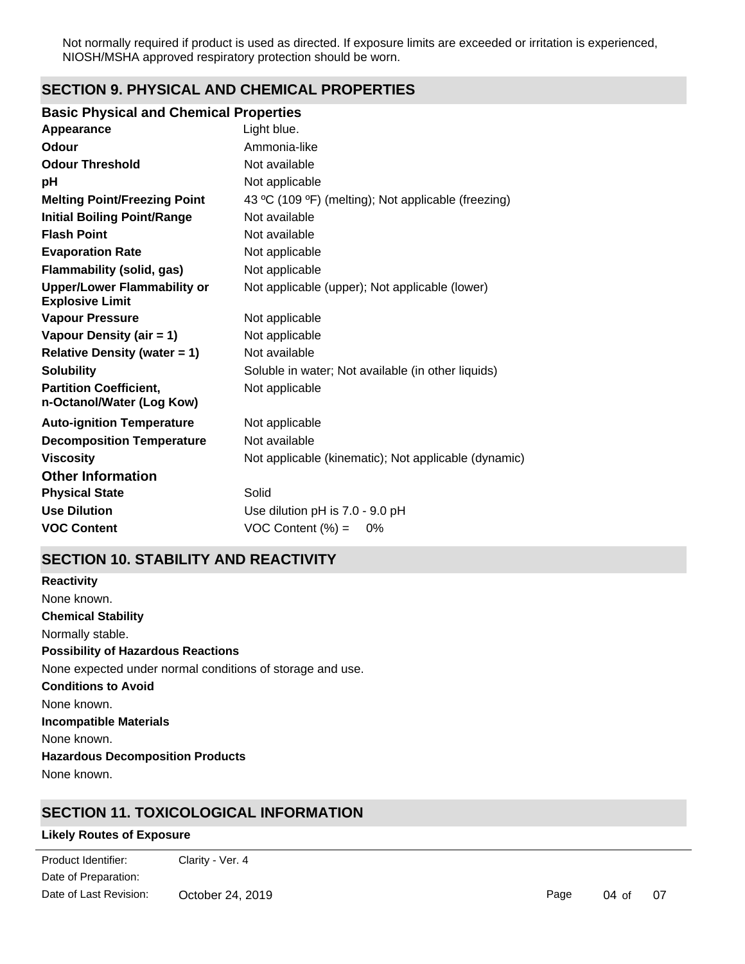Not normally required if product is used as directed. If exposure limits are exceeded or irritation is experienced, NIOSH/MSHA approved respiratory protection should be worn.

# **SECTION 9. PHYSICAL AND CHEMICAL PROPERTIES**

# **Basic Physical and Chemical Properties**

| Appearance                                                   | Light blue.                                          |
|--------------------------------------------------------------|------------------------------------------------------|
| Odour                                                        | Ammonia-like                                         |
| <b>Odour Threshold</b>                                       | Not available                                        |
| рH                                                           | Not applicable                                       |
| <b>Melting Point/Freezing Point</b>                          | 43 °C (109 °F) (melting); Not applicable (freezing)  |
| <b>Initial Boiling Point/Range</b>                           | Not available                                        |
| <b>Flash Point</b>                                           | Not available                                        |
| <b>Evaporation Rate</b>                                      | Not applicable                                       |
| <b>Flammability (solid, gas)</b>                             | Not applicable                                       |
| <b>Upper/Lower Flammability or</b><br><b>Explosive Limit</b> | Not applicable (upper); Not applicable (lower)       |
| <b>Vapour Pressure</b>                                       | Not applicable                                       |
| Vapour Density (air = 1)                                     | Not applicable                                       |
| <b>Relative Density (water = 1)</b>                          | Not available                                        |
| <b>Solubility</b>                                            | Soluble in water; Not available (in other liquids)   |
| <b>Partition Coefficient,</b><br>n-Octanol/Water (Log Kow)   | Not applicable                                       |
| <b>Auto-ignition Temperature</b>                             | Not applicable                                       |
| <b>Decomposition Temperature</b>                             | Not available                                        |
| <b>Viscosity</b>                                             | Not applicable (kinematic); Not applicable (dynamic) |
| <b>Other Information</b>                                     |                                                      |
| <b>Physical State</b>                                        | Solid                                                |
| <b>Use Dilution</b>                                          | Use dilution pH is 7.0 - 9.0 pH                      |
| <b>VOC Content</b>                                           | $VOC$ Content $(\%) =$<br>0%                         |

# **SECTION 10. STABILITY AND REACTIVITY**

**Chemical Stability** Normally stable. **Conditions to Avoid** None known. **Incompatible Materials** None known. **Hazardous Decomposition Products** None known. **Possibility of Hazardous Reactions** None expected under normal conditions of storage and use. **Reactivity** None known.

# **SECTION 11. TOXICOLOGICAL INFORMATION**

### **Likely Routes of Exposure**

extending<br>Product Identifier: Clarity - Ver. 4 Date of Preparation: Date of Last Revision: October 24, 2019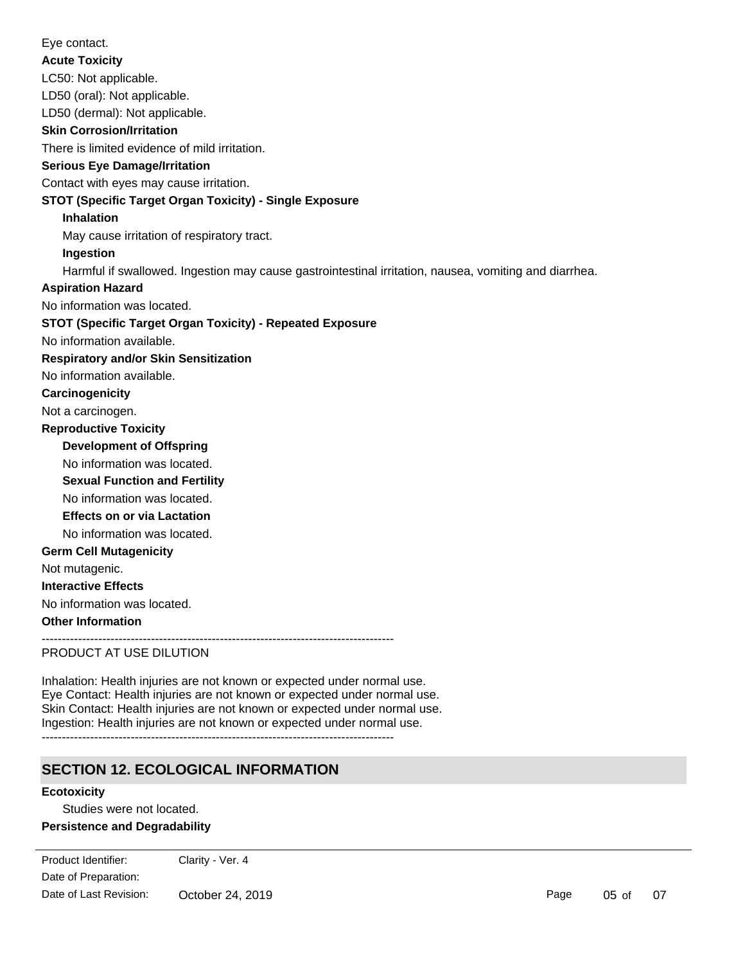LC50: Not applicable. LD50 (oral): Not applicable. **Skin Corrosion/Irritation** There is limited evidence of mild irritation. **Serious Eye Damage/Irritation** Contact with eyes may cause irritation. **STOT (Specific Target Organ Toxicity) - Single Exposure Inhalation** May cause irritation of respiratory tract. **Ingestion** Harmful if swallowed. Ingestion may cause gastrointestinal irritation, nausea, vomiting and diarrhea. No information available. **STOT (Specific Target Organ Toxicity) - Repeated Exposure Respiratory and/or Skin Sensitization** No information available. **Carcinogenicity** Not a carcinogen. **Development of Offspring** No information was located. **Reproductive Toxicity** No information was located. **Germ Cell Mutagenicity** Not mutagenic. **Interactive Effects** No information was located. **Other Information** --------------------------------------------------------------------------------------- PRODUCT AT USE DILUTION LD50 (dermal): Not applicable. **Acute Toxicity Sexual Function and Fertility Effects on or via Lactation** No information was located. No information was located. **Aspiration Hazard** Eye contact.

Inhalation: Health injuries are not known or expected under normal use. Eye Contact: Health injuries are not known or expected under normal use. Skin Contact: Health injuries are not known or expected under normal use. Ingestion: Health injuries are not known or expected under normal use. ---------------------------------------------------------------------------------------

# **SECTION 12. ECOLOGICAL INFORMATION**

# **Ecotoxicity**

Studies were not located. **Persistence and Degradability**

No information available.

Date of Preparation: Product Identifier: Clarity - Ver. 4 Date of Last Revision: October 24, 2019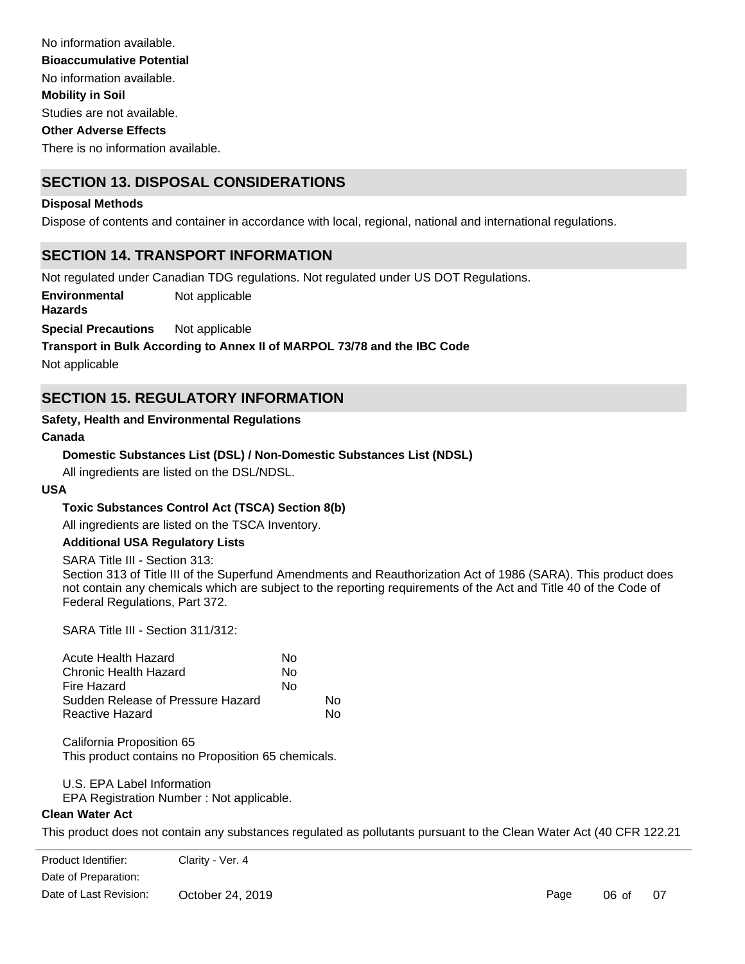No information available. Studies are not available. There is no information available. No information available. **Mobility in Soil Other Adverse Effects Bioaccumulative Potential**

# **SECTION 13. DISPOSAL CONSIDERATIONS**

### **Disposal Methods**

Dispose of contents and container in accordance with local, regional, national and international regulations.

# **SECTION 14. TRANSPORT INFORMATION**

Not regulated under Canadian TDG regulations. Not regulated under US DOT Regulations.

**Environmental** Not applicable

**Hazards**

**Special Precautions** Not applicable

# **Transport in Bulk According to Annex II of MARPOL 73/78 and the IBC Code**

Not applicable

# **SECTION 15. REGULATORY INFORMATION**

### **Safety, Health and Environmental Regulations**

### **Canada**

# **Domestic Substances List (DSL) / Non-Domestic Substances List (NDSL)**

All ingredients are listed on the DSL/NDSL.

# **USA**

# **Toxic Substances Control Act (TSCA) Section 8(b)**

All ingredients are listed on the TSCA Inventory.

# **Additional USA Regulatory Lists**

### SARA Title III - Section 313:

Section 313 of Title III of the Superfund Amendments and Reauthorization Act of 1986 (SARA). This product does not contain any chemicals which are subject to the reporting requirements of the Act and Title 40 of the Code of Federal Regulations, Part 372.

SARA Title III - Section 311/312:

| Acute Health Hazard               | N٥ |    |
|-----------------------------------|----|----|
| Chronic Health Hazard             | N٥ |    |
| Fire Hazard                       | N٥ |    |
| Sudden Release of Pressure Hazard |    | N٥ |
| Reactive Hazard                   |    | N٥ |

California Proposition 65 This product contains no Proposition 65 chemicals.

### U.S. EPA Label Information

EPA Registration Number : Not applicable.

### **Clean Water Act**

and 40 CFR 122.42).

This product does not contain any substances regulated as pollutants pursuant to the Clean Water Act (40 CFR 122.21